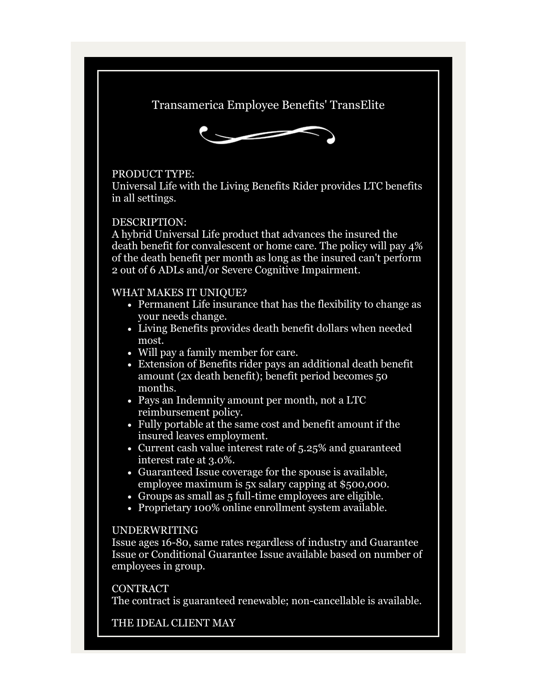